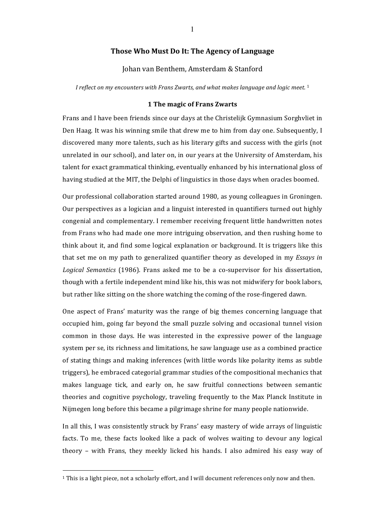## **Those Who Must Do It: The Agency of Language**

### Johan van Benthem, Amsterdam & Stanford

*I* reflect on my encounters with Frans Zwarts, and what makes language and logic meet.<sup>1</sup>

#### **1 The magic of Frans Zwarts**

Frans and I have been friends since our days at the Christelijk Gymnasium Sorghvliet in Den Haag. It was his winning smile that drew me to him from day one. Subsequently, I discovered many more talents, such as his literary gifts and success with the girls (not unrelated in our school), and later on, in our years at the University of Amsterdam, his talent for exact grammatical thinking, eventually enhanced by his international gloss of having studied at the MIT, the Delphi of linguistics in those days when oracles boomed.

Our professional collaboration started around 1980, as young colleagues in Groningen. Our perspectives as a logician and a linguist interested in quantifiers turned out highly congenial and complementary. I remember receiving frequent little handwritten notes from Frans who had made one more intriguing observation, and then rushing home to think about it, and find some logical explanation or background. It is triggers like this that set me on my path to generalized quantifier theory as developed in my *Essays in* Logical Semantics (1986). Frans asked me to be a co-supervisor for his dissertation, though with a fertile independent mind like his, this was not midwifery for book labors, but rather like sitting on the shore watching the coming of the rose-fingered dawn.

One aspect of Frans' maturity was the range of big themes concerning language that occupied him, going far beyond the small puzzle solving and occasional tunnel vision common in those days. He was interested in the expressive power of the language system per se, its richness and limitations, he saw language use as a combined practice of stating things and making inferences (with little words like polarity items as subtle triggers), he embraced categorial grammar studies of the compositional mechanics that makes language tick, and early on, he saw fruitful connections between semantic theories and cognitive psychology, traveling frequently to the Max Planck Institute in Nijmegen long before this became a pilgrimage shrine for many people nationwide.

In all this, I was consistently struck by Frans' easy mastery of wide arrays of linguistic facts. To me, these facts looked like a pack of wolves waiting to devour any logical theory – with Frans, they meekly licked his hands. I also admired his easy way of

 $1$  This is a light piece, not a scholarly effort, and I will document references only now and then.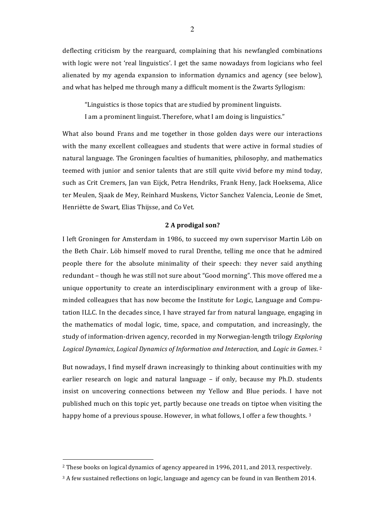deflecting criticism by the rearguard, complaining that his newfangled combinations with logic were not 'real linguistics'. I get the same nowadays from logicians who feel alienated by my agenda expansion to information dynamics and agency (see below), and what has helped me through many a difficult moment is the Zwarts Syllogism:

"Linguistics is those topics that are studied by prominent linguists.

I am a prominent linguist. Therefore, what I am doing is linguistics."

What also bound Frans and me together in those golden days were our interactions with the many excellent colleagues and students that were active in formal studies of natural language. The Groningen faculties of humanities, philosophy, and mathematics teemed with junior and senior talents that are still quite vivid before my mind today, such as Crit Cremers, Jan van Eijck, Petra Hendriks, Frank Heny, Jack Hoeksema, Alice ter Meulen, Sjaak de Mey, Reinhard Muskens, Victor Sanchez Valencia, Leonie de Smet, Henriëtte de Swart, Elias Thijsse, and Co Vet.

### **2 A prodigal son?**

I left Groningen for Amsterdam in 1986, to succeed my own supervisor Martin Löb on the Beth Chair. Löb himself moved to rural Drenthe, telling me once that he admired people there for the absolute minimality of their speech: they never said anything redundant – though he was still not sure about "Good morning". This move offered me a unique opportunity to create an interdisciplinary environment with a group of likeminded colleagues that has now become the Institute for Logic, Language and Computation ILLC. In the decades since, I have strayed far from natural language, engaging in the mathematics of modal logic, time, space, and computation, and increasingly, the study of information-driven agency, recorded in my Norwegian-length trilogy *Exploring Logical Dynamics, Logical Dynamics of Information and Interaction, and Logic in Games.* <sup>2</sup>

But nowadays, I find myself drawn increasingly to thinking about continuities with my earlier research on logic and natural language  $-$  if only, because my Ph.D. students insist on uncovering connections between my Yellow and Blue periods. I have not published much on this topic yet, partly because one treads on tiptoe when visiting the happy home of a previous spouse. However, in what follows, I offer a few thoughts. 3

 $2$  These books on logical dynamics of agency appeared in 1996, 2011, and 2013, respectively.

 $3$  A few sustained reflections on logic, language and agency can be found in van Benthem 2014.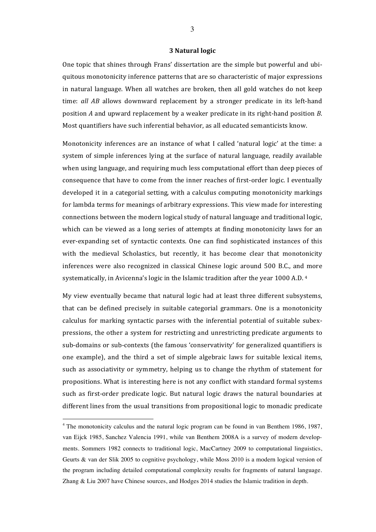#### **3 Natural logic**

One topic that shines through Frans' dissertation are the simple but powerful and ubiquitous monotonicity inference patterns that are so characteristic of major expressions in natural language. When all watches are broken, then all gold watches do not keep time: *all AB* allows downward replacement by a stronger predicate in its left-hand position *A* and upward replacement by a weaker predicate in its right-hand position *B*. Most quantifiers have such inferential behavior, as all educated semanticists know.

Monotonicity inferences are an instance of what I called 'natural logic' at the time: a system of simple inferences lying at the surface of natural language, readily available when using language, and requiring much less computational effort than deep pieces of consequence that have to come from the inner reaches of first-order logic. I eventually developed it in a categorial setting, with a calculus computing monotonicity markings for lambda terms for meanings of arbitrary expressions. This view made for interesting connections between the modern logical study of natural language and traditional logic, which can be viewed as a long series of attempts at finding monotonicity laws for an ever-expanding set of syntactic contexts. One can find sophisticated instances of this with the medieval Scholastics, but recently, it has become clear that monotonicity inferences were also recognized in classical Chinese logic around 500 B.C., and more systematically, in Avicenna's logic in the Islamic tradition after the year 1000 A.D.  $4$ 

My view eventually became that natural logic had at least three different subsystems, that can be defined precisely in suitable categorial grammars. One is a monotonicity calculus for marking syntactic parses with the inferential potential of suitable subexpressions, the other a system for restricting and unrestricting predicate arguments to sub-domains or sub-contexts (the famous 'conservativity' for generalized quantifiers is one example), and the third a set of simple algebraic laws for suitable lexical items, such as associativity or symmetry, helping us to change the rhythm of statement for propositions. What is interesting here is not any conflict with standard formal systems such as first-order predicate logic. But natural logic draws the natural boundaries at different lines from the usual transitions from propositional logic to monadic predicate

 <sup>4</sup> The monotonicity calculus and the natural logic program can be found in van Benthem 1986, 1987, van Eijck 1985, Sanchez Valencia 1991, while van Benthem 2008A is a survey of modern developments. Sommers 1982 connects to traditional logic, MacCartney 2009 to computational linguistics, Geurts & van der Slik 2005 to cognitive psychology, while Moss 2010 is a modern logical version of the program including detailed computational complexity results for fragments of natural language. Zhang & Liu 2007 have Chinese sources, and Hodges 2014 studies the Islamic tradition in depth.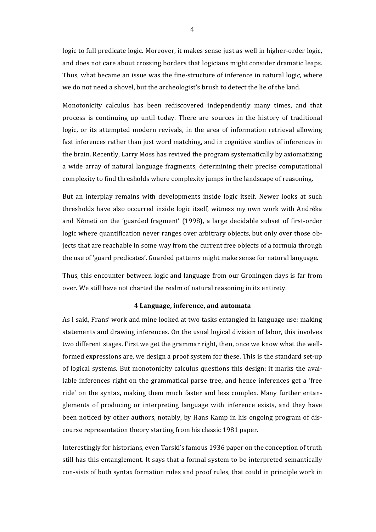logic to full predicate logic. Moreover, it makes sense just as well in higher-order logic, and does not care about crossing borders that logicians might consider dramatic leaps. Thus, what became an issue was the fine-structure of inference in natural logic, where we do not need a shovel, but the archeologist's brush to detect the lie of the land.

Monotonicity calculus has been rediscovered independently many times, and that process is continuing up until today. There are sources in the history of traditional logic, or its attempted modern revivals, in the area of information retrieval allowing fast inferences rather than just word matching, and in cognitive studies of inferences in the brain. Recently, Larry Moss has revived the program systematically by axiomatizing a wide array of natural language fragments, determining their precise computational complexity to find thresholds where complexity jumps in the landscape of reasoning.

But an interplay remains with developments inside logic itself. Newer looks at such thresholds have also occurred inside logic itself, witness my own work with Andréka and Németi on the 'guarded fragment' (1998), a large decidable subset of first-order logic where quantification never ranges over arbitrary objects, but only over those objects that are reachable in some way from the current free objects of a formula through the use of 'guard predicates'. Guarded patterns might make sense for natural language.

Thus, this encounter between logic and language from our Groningen days is far from over. We still have not charted the realm of natural reasoning in its entirety.

### **4 Language, inference, and automata**

As I said, Frans' work and mine looked at two tasks entangled in language use: making statements and drawing inferences. On the usual logical division of labor, this involves two different stages. First we get the grammar right, then, once we know what the wellformed expressions are, we design a proof system for these. This is the standard set-up of logical systems. But monotonicity calculus questions this design: it marks the available inferences right on the grammatical parse tree, and hence inferences get a 'free ride' on the syntax, making them much faster and less complex. Many further entanglements of producing or interpreting language with inference exists, and they have been noticed by other authors, notably, by Hans Kamp in his ongoing program of discourse representation theory starting from his classic 1981 paper.

Interestingly for historians, even Tarski's famous 1936 paper on the conception of truth still has this entanglement. It says that a formal system to be interpreted semantically con-sists of both syntax formation rules and proof rules, that could in principle work in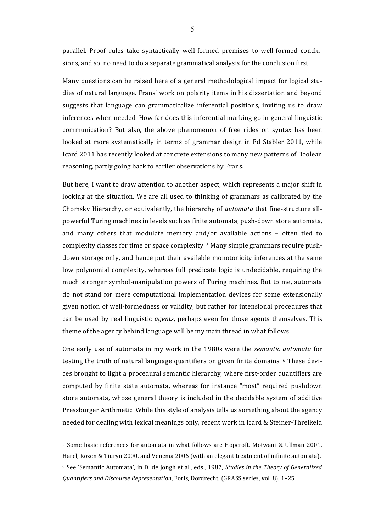parallel. Proof rules take syntactically well-formed premises to well-formed conclusions, and so, no need to do a separate grammatical analysis for the conclusion first.

Many questions can be raised here of a general methodological impact for logical studies of natural language. Frans' work on polarity items in his dissertation and beyond suggests that language can grammaticalize inferential positions, inviting us to draw inferences when needed. How far does this inferential marking go in general linguistic communication? But also, the above phenomenon of free rides on syntax has been looked at more systematically in terms of grammar design in Ed Stabler 2011, while Icard 2011 has recently looked at concrete extensions to many new patterns of Boolean reasoning, partly going back to earlier observations by Frans.

But here, I want to draw attention to another aspect, which represents a major shift in looking at the situation. We are all used to thinking of grammars as calibrated by the Chomsky Hierarchy, or equivalently, the hierarchy of *automata* that fine-structure allpowerful Turing machines in levels such as finite automata, push-down store automata, and many others that modulate memory and/or available actions - often tied to complexity classes for time or space complexity.<sup>5</sup> Many simple grammars require pushdown storage only, and hence put their available monotonicity inferences at the same low polynomial complexity, whereas full predicate logic is undecidable, requiring the much stronger symbol-manipulation powers of Turing machines. But to me, automata do not stand for mere computational implementation devices for some extensionally given notion of well-formedness or validity, but rather for intensional procedures that can be used by real linguistic *agents*, perhaps even for those agents themselves. This theme of the agency behind language will be my main thread in what follows.

One early use of automata in my work in the 1980s were the *semantic automata* for testing the truth of natural language quantifiers on given finite domains. <sup>6</sup> These devices brought to light a procedural semantic hierarchy, where first-order quantifiers are computed by finite state automata, whereas for instance "most" required pushdown store automata, whose general theory is included in the decidable system of additive Pressburger Arithmetic. While this style of analysis tells us something about the agency needed for dealing with lexical meanings only, recent work in Icard & Steiner-Threlkeld

 $\overline{a}$ 

5

<sup>&</sup>lt;sup>5</sup> Some basic references for automata in what follows are Hopcroft, Motwani & Ullman 2001, Harel, Kozen & Tiuryn 2000, and Venema 2006 (with an elegant treatment of infinite automata). <sup>6</sup> See 'Semantic Automata', in D. de Jongh et al., eds., 1987, *Studies in the Theory of Generalized Quantifiers and Discourse Representation*, Foris, Dordrecht, (GRASS series, vol. 8), 1–25.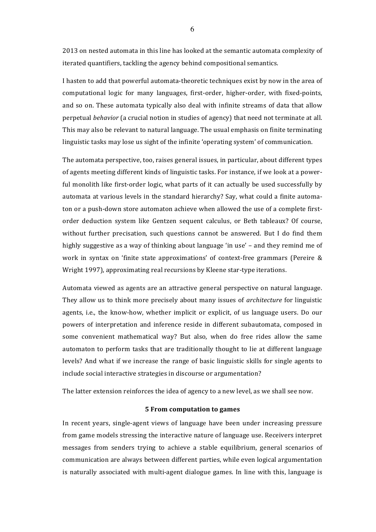2013 on nested automata in this line has looked at the semantic automata complexity of iterated quantifiers, tackling the agency behind compositional semantics.

I hasten to add that powerful automata-theoretic techniques exist by now in the area of computational logic for many languages, first-order, higher-order, with fixed-points, and so on. These automata typically also deal with infinite streams of data that allow perpetual *behavior* (a crucial notion in studies of agency) that need not terminate at all. This may also be relevant to natural language. The usual emphasis on finite terminating linguistic tasks may lose us sight of the infinite 'operating system' of communication.

The automata perspective, too, raises general issues, in particular, about different types of agents meeting different kinds of linguistic tasks. For instance, if we look at a powerful monolith like first-order logic, what parts of it can actually be used successfully by automata at various levels in the standard hierarchy? Say, what could a finite automaton or a push-down store automaton achieve when allowed the use of a complete firstorder deduction system like Gentzen sequent calculus, or Beth tableaux? Of course, without further precisation, such questions cannot be answered. But I do find them highly suggestive as a way of thinking about language 'in use' – and they remind me of work in syntax on 'finite state approximations' of context-free grammars (Pereire & Wright 1997), approximating real recursions by Kleene star-type iterations.

Automata viewed as agents are an attractive general perspective on natural language. They allow us to think more precisely about many issues of *architecture* for linguistic agents, i.e., the know-how, whether implicit or explicit, of us language users. Do our powers of interpretation and inference reside in different subautomata, composed in some convenient mathematical way? But also, when do free rides allow the same automaton to perform tasks that are traditionally thought to lie at different language levels? And what if we increase the range of basic linguistic skills for single agents to include social interactive strategies in discourse or argumentation?

The latter extension reinforces the idea of agency to a new level, as we shall see now.

# **5 From computation to games**

In recent years, single-agent views of language have been under increasing pressure from game models stressing the interactive nature of language use. Receivers interpret messages from senders trying to achieve a stable equilibrium, general scenarios of communication are always between different parties, while even logical argumentation is naturally associated with multi-agent dialogue games. In line with this, language is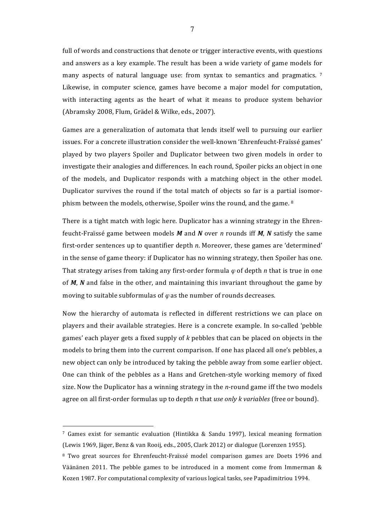full of words and constructions that denote or trigger interactive events, with questions and answers as a key example. The result has been a wide variety of game models for many aspects of natural language use: from syntax to semantics and pragmatics.  $\frac{7}{100}$ Likewise, in computer science, games have become a major model for computation, with interacting agents as the heart of what it means to produce system behavior (Abramsky 2008, Flum, Grädel & Wilke, eds., 2007).

Games are a generalization of automata that lends itself well to pursuing our earlier issues. For a concrete illustration consider the well-known 'Ehrenfeucht-Fraïssé games' played by two players Spoiler and Duplicator between two given models in order to investigate their analogies and differences. In each round, Spoiler picks an object in one of the models, and Duplicator responds with a matching object in the other model. Duplicator survives the round if the total match of objects so far is a partial isomorphism between the models, otherwise, Spoiler wins the round, and the game. 8

There is a tight match with logic here. Duplicator has a winning strategy in the Ehrenfeucht-Fraïssé game between models *M* and *N* over *n* rounds iff *M*, *N* satisfy the same first-order sentences up to quantifier depth *n*. Moreover, these games are 'determined' in the sense of game theory: if Duplicator has no winning strategy, then Spoiler has one. That strategy arises from taking any first-order formula  $\varphi$  of depth *n* that is true in one of *M*, *N* and false in the other, and maintaining this invariant throughout the game by moving to suitable subformulas of  $\varphi$  as the number of rounds decreases.

Now the hierarchy of automata is reflected in different restrictions we can place on players and their available strategies. Here is a concrete example. In so-called 'pebble games' each player gets a fixed supply of *k* pebbles that can be placed on objects in the models to bring them into the current comparison. If one has placed all one's pebbles, a new object can only be introduced by taking the pebble away from some earlier object. One can think of the pebbles as a Hans and Gretchen-style working memory of fixed size. Now the Duplicator has a winning strategy in the *n*-round game iff the two models agree on all first-order formulas up to depth *n* that *use only k variables* (free or bound).

 $7$  Games exist for semantic evaluation (Hintikka & Sandu 1997), lexical meaning formation (Lewis 1969, Jäger, Benz & van Rooij, eds., 2005, Clark 2012) or dialogue (Lorenzen 1955).

<sup>&</sup>lt;sup>8</sup> Two great sources for Ehrenfeucht-Fraïssé model comparison games are Doets 1996 and Väänänen 2011. The pebble games to be introduced in a moment come from Immerman  $\&$ Kozen 1987. For computational complexity of various logical tasks, see Papadimitriou 1994.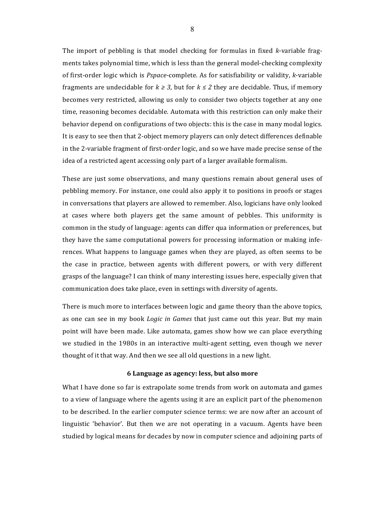The import of pebbling is that model checking for formulas in fixed *k*-variable fragments takes polynomial time, which is less than the general model-checking complexity of first-order logic which is *Pspace*-complete. As for satisfiability or validity, *k*-variable fragments are undecidable for  $k \geq 3$ , but for  $k \leq 2$  they are decidable. Thus, if memory becomes very restricted, allowing us only to consider two objects together at any one time, reasoning becomes decidable. Automata with this restriction can only make their behavior depend on configurations of two objects: this is the case in many modal logics. It is easy to see then that 2-object memory players can only detect differences definable in the 2-variable fragment of first-order logic, and so we have made precise sense of the idea of a restricted agent accessing only part of a larger available formalism.

These are just some observations, and many questions remain about general uses of pebbling memory. For instance, one could also apply it to positions in proofs or stages in conversations that players are allowed to remember. Also, logicians have only looked at cases where both players get the same amount of pebbles. This uniformity is common in the study of language: agents can differ qua information or preferences, but they have the same computational powers for processing information or making inferences. What happens to language games when they are played, as often seems to be the case in practice, between agents with different powers, or with very different grasps of the language? I can think of many interesting issues here, especially given that communication does take place, even in settings with diversity of agents.

There is much more to interfaces between logic and game theory than the above topics, as one can see in my book *Logic in Games* that just came out this year. But my main point will have been made. Like automata, games show how we can place everything we studied in the 1980s in an interactive multi-agent setting, even though we never thought of it that way. And then we see all old questions in a new light.

### **6 Language as agency: less, but also more**

What I have done so far is extrapolate some trends from work on automata and games to a view of language where the agents using it are an explicit part of the phenomenon to be described. In the earlier computer science terms: we are now after an account of linguistic 'behavior'. But then we are not operating in a vacuum. Agents have been studied by logical means for decades by now in computer science and adjoining parts of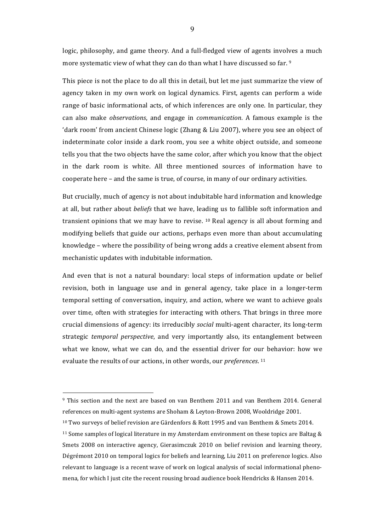logic, philosophy, and game theory. And a full-fledged view of agents involves a much more systematic view of what they can do than what I have discussed so far. 9

This piece is not the place to do all this in detail, but let me just summarize the view of agency taken in my own work on logical dynamics. First, agents can perform a wide range of basic informational acts, of which inferences are only one. In particular, they can also make *observations*, and engage in *communication*. A famous example is the 'dark room' from ancient Chinese logic (Zhang & Liu 2007), where you see an object of indeterminate color inside a dark room, you see a white object outside, and someone tells you that the two objects have the same color, after which you know that the object in the dark room is white. All three mentioned sources of information have to cooperate here – and the same is true, of course, in many of our ordinary activities.

But crucially, much of agency is not about indubitable hard information and knowledge at all, but rather about *beliefs* that we have, leading us to fallible soft information and transient opinions that we may have to revise.  $10$  Real agency is all about forming and modifying beliefs that guide our actions, perhaps even more than about accumulating knowledge – where the possibility of being wrong adds a creative element absent from mechanistic updates with indubitable information.

And even that is not a natural boundary: local steps of information update or belief revision, both in language use and in general agency, take place in a longer-term temporal setting of conversation, inquiry, and action, where we want to achieve goals over time, often with strategies for interacting with others. That brings in three more crucial dimensions of agency: its irreducibly *social* multi-agent character, its long-term strategic *temporal perspective*, and very importantly also, its entanglement between what we know, what we can do, and the essential driver for our behavior: how we evaluate the results of our actions, in other words, our *preferences*. <sup>11</sup>

 $10$  Two surveys of belief revision are Gärdenfors & Rott 1995 and van Benthem & Smets 2014.

 $9$  This section and the next are based on van Benthem 2011 and van Benthem 2014. General references on multi-agent systems are Shoham & Leyton-Brown 2008, Wooldridge 2001.

<sup>&</sup>lt;sup>11</sup> Some samples of logical literature in my Amsterdam environment on these topics are Baltag  $\&$ Smets 2008 on interactive agency, Gierasimczuk 2010 on belief revision and learning theory, Dégrémont 2010 on temporal logics for beliefs and learning, Liu 2011 on preference logics. Also relevant to language is a recent wave of work on logical analysis of social informational phenomena, for which I just cite the recent rousing broad audience book Hendricks & Hansen 2014.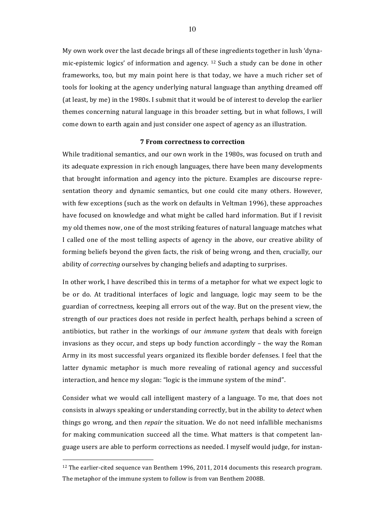My own work over the last decade brings all of these ingredients together in lush 'dynamic-epistemic logics' of information and agency.  $12$  Such a study can be done in other frameworks, too, but my main point here is that today, we have a much richer set of tools for looking at the agency underlying natural language than anything dreamed off (at least, by me) in the 1980s. I submit that it would be of interest to develop the earlier themes concerning natural language in this broader setting, but in what follows, I will come down to earth again and just consider one aspect of agency as an illustration.

## **7 From correctness to correction**

While traditional semantics, and our own work in the 1980s, was focused on truth and its adequate expression in rich enough languages, there have been many developments that brought information and agency into the picture. Examples are discourse representation theory and dynamic semantics, but one could cite many others. However, with few exceptions (such as the work on defaults in Veltman 1996), these approaches have focused on knowledge and what might be called hard information. But if I revisit my old themes now, one of the most striking features of natural language matches what I called one of the most telling aspects of agency in the above, our creative ability of forming beliefs beyond the given facts, the risk of being wrong, and then, crucially, our ability of *correcting* ourselves by changing beliefs and adapting to surprises.

In other work, I have described this in terms of a metaphor for what we expect logic to be or do. At traditional interfaces of logic and language, logic may seem to be the guardian of correctness, keeping all errors out of the way. But on the present view, the strength of our practices does not reside in perfect health, perhaps behind a screen of antibiotics, but rather in the workings of our *immune system* that deals with foreign invasions as they occur, and steps up body function accordingly  $-$  the way the Roman Army in its most successful years organized its flexible border defenses. I feel that the latter dynamic metaphor is much more revealing of rational agency and successful interaction, and hence my slogan: "logic is the immune system of the mind".

Consider what we would call intelligent mastery of a language. To me, that does not consists in always speaking or understanding correctly, but in the ability to *detect* when things go wrong, and then *repair* the situation. We do not need infallible mechanisms for making communication succeed all the time. What matters is that competent language users are able to perform corrections as needed. I myself would judge, for instan-

 $12$  The earlier-cited sequence van Benthem 1996, 2011, 2014 documents this research program. The metaphor of the immune system to follow is from van Benthem 2008B.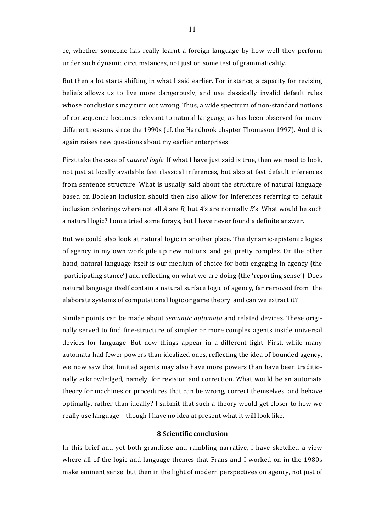ce, whether someone has really learnt a foreign language by how well they perform under such dynamic circumstances, not just on some test of grammaticality.

But then a lot starts shifting in what I said earlier. For instance, a capacity for revising beliefs allows us to live more dangerously, and use classically invalid default rules whose conclusions may turn out wrong. Thus, a wide spectrum of non-standard notions of consequence becomes relevant to natural language, as has been observed for many different reasons since the 1990s (cf. the Handbook chapter Thomason 1997). And this again raises new questions about my earlier enterprises.

First take the case of *natural logic*. If what I have just said is true, then we need to look, not just at locally available fast classical inferences, but also at fast default inferences from sentence structure. What is usually said about the structure of natural language based on Boolean inclusion should then also allow for inferences referring to default inclusion orderings where not all A are B, but A's are normally B's. What would be such a natural logic? I once tried some forays, but I have never found a definite answer.

But we could also look at natural logic in another place. The dynamic-epistemic logics of agency in my own work pile up new notions, and get pretty complex. On the other hand, natural language itself is our medium of choice for both engaging in agency (the 'participating stance') and reflecting on what we are doing (the 'reporting sense'). Does natural language itself contain a natural surface logic of agency, far removed from the elaborate systems of computational logic or game theory, and can we extract it?

Similar points can be made about *semantic automata* and related devices. These originally served to find fine-structure of simpler or more complex agents inside universal devices for language. But now things appear in a different light. First, while many automata had fewer powers than idealized ones, reflecting the idea of bounded agency, we now saw that limited agents may also have more powers than have been traditionally acknowledged, namely, for revision and correction. What would be an automata theory for machines or procedures that can be wrong, correct themselves, and behave optimally, rather than ideally? I submit that such a theory would get closer to how we really use language - though I have no idea at present what it will look like.

# **8 Scientific conclusion**

In this brief and yet both grandiose and rambling narrative, I have sketched a view where all of the logic-and-language themes that Frans and I worked on in the 1980s make eminent sense, but then in the light of modern perspectives on agency, not just of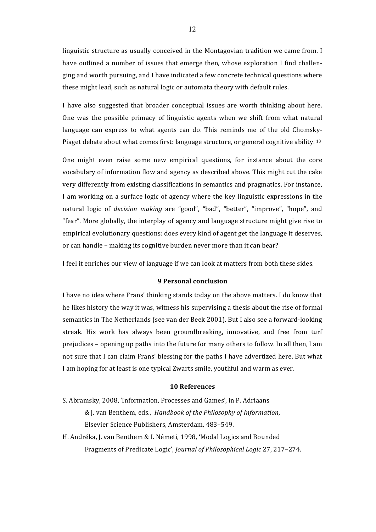linguistic structure as usually conceived in the Montagovian tradition we came from. I have outlined a number of issues that emerge then, whose exploration I find challenging and worth pursuing, and I have indicated a few concrete technical questions where these might lead, such as natural logic or automata theory with default rules.

I have also suggested that broader conceptual issues are worth thinking about here. One was the possible primacy of linguistic agents when we shift from what natural language can express to what agents can do. This reminds me of the old Chomsky-Piaget debate about what comes first: language structure, or general cognitive ability. 13

One might even raise some new empirical questions, for instance about the core vocabulary of information flow and agency as described above. This might cut the cake very differently from existing classifications in semantics and pragmatics. For instance, I am working on a surface logic of agency where the key linguistic expressions in the natural logic of *decision making* are "good", "bad", "better", "improve", "hope", and "fear". More globally, the interplay of agency and language structure might give rise to empirical evolutionary questions: does every kind of agent get the language it deserves, or can handle – making its cognitive burden never more than it can bear?

I feel it enriches our view of language if we can look at matters from both these sides.

# **9 Personal conclusion**

I have no idea where Frans' thinking stands today on the above matters. I do know that he likes history the way it was, witness his supervising a thesis about the rise of formal semantics in The Netherlands (see van der Beek 2001). But I also see a forward-looking streak. His work has always been groundbreaking, innovative, and free from turf prejudices – opening up paths into the future for many others to follow. In all then, I am not sure that I can claim Frans' blessing for the paths I have advertized here. But what I am hoping for at least is one typical Zwarts smile, youthful and warm as ever.

### **10 References**

S. Abramsky, 2008, 'Information, Processes and Games', in P. Adriaans & J. van Benthem, eds., *Handbook of the Philosophy of Information*, Elsevier Science Publishers, Amsterdam, 483-549.

H. Andréka, J. van Benthem & I. Németi, 1998, 'Modal Logics and Bounded Fragments of Predicate Logic', *Journal of Philosophical Logic* 27, 217–274.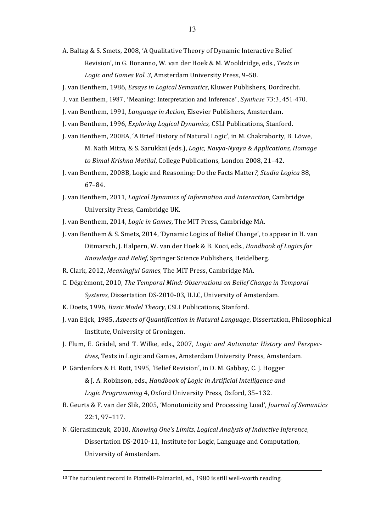A. Baltag & S. Smets, 2008, 'A Qualitative Theory of Dynamic Interactive Belief Revision', in G. Bonanno, W. van der Hoek & M. Wooldridge, eds., *Texts in* Logic and Games Vol. 3, Amsterdam University Press, 9-58.

J. van Benthem, 1986, *Essays in Logical Semantics*, Kluwer Publishers, Dordrecht.

- J. van Benthem, 1987, 'Meaning: Interpretation and Inference', *Synthese* 73:3, 451-470.
- J. van Benthem, 1991, *Language in Action*, Elsevier Publishers, Amsterdam.
- J. van Benthem, 1996, *Exploring Logical Dynamics*, CSLI Publications, Stanford.
- J. van Benthem, 2008A, 'A Brief History of Natural Logic', in M. Chakraborty, B. Löwe, M. Nath Mitra, & S. Sarukkai (eds.), *Logic, Navya-Nyaya & Applications, Homage* to Bimal Krishna Matilal, College Publications, London 2008, 21-42.
- J. van Benthem, 2008B, Logic and Reasoning: Do the Facts Matter?, Studia Logica 88, 67–84.
- J. van Benthem, 2011, *Logical Dynamics of Information and Interaction*, Cambridge University Press, Cambridge UK.
- J. van Benthem, 2014, *Logic in Games*, The MIT Press, Cambridge MA.
- J. van Benthem & S. Smets, 2014, 'Dynamic Logics of Belief Change', to appear in H. van Ditmarsch, J. Halpern, W. van der Hoek & B. Kooi, eds., *Handbook of Logics for Knowledge and Belief, Springer Science Publishers, Heidelberg.*
- R. Clark, 2012, *Meaningful Games*, The MIT Press, Cambridge MA.
- C. Dégrémont, 2010, *The Temporal Mind: Observations on Belief Change in Temporal* Systems, Dissertation DS-2010-03, ILLC, University of Amsterdam.
- K. Doets, 1996, *Basic Model Theory*, CSLI Publications, Stanford.
- J. van Eijck, 1985, *Aspects of Quantification in Natural Language*, Dissertation, Philosophical Institute, University of Groningen.
- J. Flum, E. Grädel, and T. Wilke, eds., 2007, *Logic and Automata: History and Perspec*tives, Texts in Logic and Games, Amsterdam University Press, Amsterdam.
- P. Gärdenfors & H. Rott, 1995, 'Belief Revision', in D. M. Gabbay, C. J. Hogger & J. A. Robinson, eds., *Handbook of Logic in Artificial Intelligence and* Logic Programming 4, Oxford University Press, Oxford, 35-132.
- B. Geurts & F. van der Slik, 2005, 'Monotonicity and Processing Load', *Journal of Semantics* 22:1, 97–117.
- N. Gierasimczuk, 2010, *Knowing One's Limits*, *Logical Analysis of Inductive Inference*, Dissertation DS-2010-11, Institute for Logic, Language and Computation, University of Amsterdam.

<sup>&</sup>lt;sup>13</sup> The turbulent record in Piattelli-Palmarini, ed., 1980 is still well-worth reading.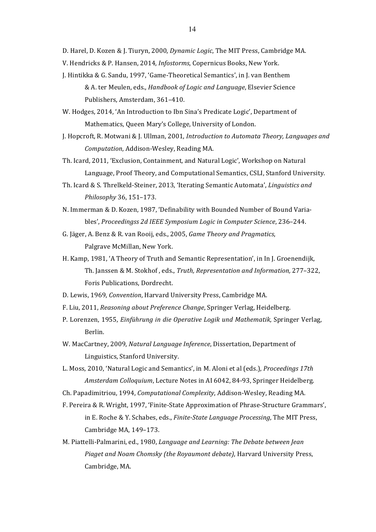D. Harel, D. Kozen & J. Tiuryn, 2000, *Dynamic Logic*, The MIT Press, Cambridge MA.

- V. Hendricks & P. Hansen, 2014, *Infostorms*, Copernicus Books, New York.
- J. Hintikka & G. Sandu, 1997, 'Game-Theoretical Semantics', in J. van Benthem & A. ter Meulen, eds., *Handbook of Logic and Language*, Elsevier Science Publishers, Amsterdam, 361-410.
- W. Hodges, 2014, 'An Introduction to Ibn Sina's Predicate Logic', Department of Mathematics, Queen Mary's College, University of London.
- J. Hopcroft, R. Motwani & J. Ullman, 2001, *Introduction to Automata Theory, Languages and Computation*, Addison-Wesley, Reading MA.
- Th. Icard, 2011, 'Exclusion, Containment, and Natural Logic', Workshop on Natural Language, Proof Theory, and Computational Semantics, CSLI, Stanford University.
- Th. Icard & S. Threlkeld-Steiner, 2013, 'Iterating Semantic Automata', *Linguistics and Philosophy* 36, 151–173.
- N. Immerman & D. Kozen, 1987, 'Definability with Bounded Number of Bound Variables', Proceedingss 2d IEEE Symposium Logic in Computer Science, 236-244.
- G. Jäger, A. Benz & R. van Rooij, eds., 2005, *Game Theory and Pragmatics*, Palgrave McMillan, New York.
- H. Kamp, 1981, 'A Theory of Truth and Semantic Representation', in In J. Groenendijk, Th. Janssen & M. Stokhof, eds., *Truth, Representation and Information,* 277-322, Foris Publications, Dordrecht.
- D. Lewis, 1969, *Convention*, Harvard University Press, Cambridge MA.
- F. Liu, 2011, *Reasoning about Preference Change*, Springer Verlag, Heidelberg.
- P. Lorenzen, 1955, *Einführung in die Operative Logik und Mathematik*, Springer Verlag, Berlin.
- W. MacCartney, 2009, *Natural Language Inference*, Dissertation, Department of Linguistics, Stanford University.
- L. Moss, 2010, 'Natural Logic and Semantics', in M. Aloni et al (eds.), *Proceedings 17th Amsterdam Colloquium, Lecture Notes in AI 6042, 84-93, Springer Heidelberg.*
- Ch. Papadimitriou, 1994, *Computational Complexity*, Addison-Wesley, Reading MA.
- F. Pereira & R. Wright, 1997, 'Finite-State Approximation of Phrase-Structure Grammars', in E. Roche & Y. Schabes, eds., *Finite-State Language Processing*, The MIT Press, Cambridge MA, 149-173.
- M. Piattelli-Palmarini, ed., 1980, *Language and Learning: The Debate between Jean Piaget and Noam Chomsky (the Royaumont debate)*, Harvard University Press, Cambridge, MA.